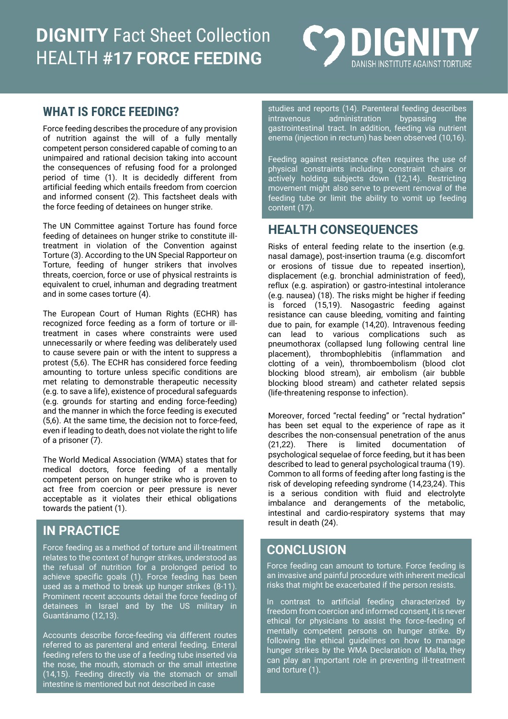# **DIGNITY** Fact Sheet Collection HEALTH **#17 FORCE FEEDING**



#### **WHAT IS FORCE FEEDING?**

Force feeding describes the procedure of any provision of nutrition against the will of a fully mentally competent person considered capable of coming to an unimpaired and rational decision taking into account the consequences of refusing food for a prolonged period of time (1). It is decidedly different from artificial feeding which entails freedom from coercion and informed consent (2). This factsheet deals with the force feeding of detainees on hunger strike.

The UN Committee against Torture has found force feeding of detainees on hunger strike to constitute illtreatment in violation of the Convention against Torture (3). According to the UN Special Rapporteur on Torture, feeding of hunger strikers that involves threats, coercion, force or use of physical restraints is equivalent to cruel, inhuman and degrading treatment and in some cases torture (4).

The European Court of Human Rights (ECHR) has recognized force feeding as a form of torture or illtreatment in cases where constraints were used unnecessarily or where feeding was deliberately used to cause severe pain or with the intent to suppress a protest (5,6). The ECHR has considered force feeding amounting to torture unless specific conditions are met relating to demonstrable therapeutic necessity (e.g. to save a life), existence of procedural safeguards (e.g. grounds for starting and ending force-feeding) and the manner in which the force feeding is executed (5,6). At the same time, the decision not to force-feed, even if leading to death, does not violate the right to life of a prisoner (7).

The World Medical Association (WMA) states that for medical doctors, force feeding of a mentally competent person on hunger strike who is proven to act free from coercion or peer pressure is never acceptable as it violates their ethical obligations towards the patient (1).

## **IN PRACTICE**

Force feeding as a method of torture and ill-treatment relates to the context of hunger strikes, understood as the refusal of nutrition for a prolonged period to achieve specific goals (1). Force feeding has been used as a method to break up hunger strikes (8-11). Prominent recent accounts detail the force feeding of detainees in Israel and by the US military in Guantánamo (12,13).

Accounts describe force-feeding via different routes referred to as parenteral and enteral feeding. Enteral feeding refers to the use of a feeding tube inserted via the nose, the mouth, stomach or the small intestine (14,15). Feeding directly via the stomach or small intestine is mentioned but not described in case

studies and reports (14). Parenteral feeding describes intravenous administration bypassing the gastrointestinal tract. In addition, feeding via nutrient enema (injection in rectum) has been observed (10,16).

Feeding against resistance often requires the use of physical constraints including constraint chairs or actively holding subjects down (12,14). Restricting movement might also serve to prevent removal of the feeding tube or limit the ability to vomit up feeding content (17).

#### **HEALTH CONSEQUENCES**

Risks of enteral feeding relate to the insertion (e.g. nasal damage), post-insertion trauma (e.g. discomfort or erosions of tissue due to repeated insertion), displacement (e.g. bronchial administration of feed), reflux (e.g. aspiration) or gastro-intestinal intolerance (e.g. nausea) (18). The risks might be higher if feeding is forced (15,19). Nasogastric feeding against resistance can cause bleeding, vomiting and fainting due to pain, for example (14,20). Intravenous feeding can lead to various complications such as pneumothorax (collapsed lung following central line placement), thrombophlebitis (inflammation and clotting of a vein), thromboembolism (blood clot blocking blood stream), air embolism (air bubble blocking blood stream) and catheter related sepsis (life-threatening response to infection).

Moreover, forced "rectal feeding" or "rectal hydration" has been set equal to the experience of rape as it describes the non-consensual penetration of the anus (21,22). There is limited documentation of psychological sequelae of force feeding, but it has been described to lead to general psychological trauma (19). Common to all forms of feeding after long fasting is the risk of developing refeeding syndrome (14,23,24). This is a serious condition with fluid and electrolyte imbalance and derangements of the metabolic, intestinal and cardio-respiratory systems that may result in death (24).

#### **CONCLUSION**

Force feeding can amount to torture. Force feeding is an invasive and painful procedure with inherent medical risks that might be exacerbated if the person resists.

In contrast to artificial feeding characterized by freedom from coercion and informed consent, it is never ethical for physicians to assist the force-feeding of mentally competent persons on hunger strike. By following the ethical guidelines on how to manage hunger strikes by the WMA Declaration of Malta, they can play an important role in preventing ill-treatment and torture (1).